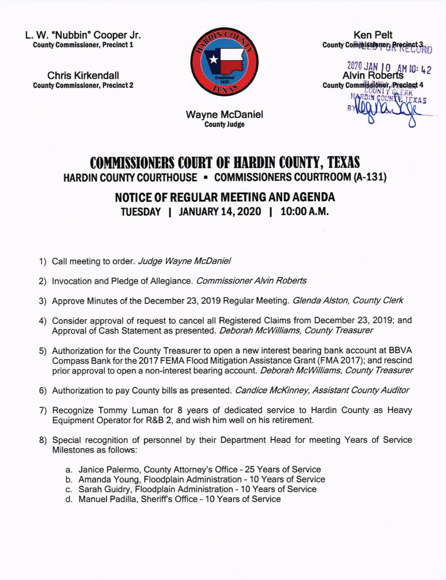L. W. 'Nubbin' Cooper Jr. **County Commissioner, Precinct 1** 

Chris Kirkendall **County Commissioner, Precinct 2** 



Ken Pelt County Commissioner, Brecinct 3

<sup>2020</sup> JAN 10<br>Alvin Rober **County Commissioner, Precinct 4** rii T an

Wayne McDaniel CountyJudge

## COMMISSIONERS COURT OF HARDIN COUNTY, TEXAS HARDIN COUNTY COURTHOUSE . COMMISSIONERS COURTROOM (A-131)

## NOTICE OF REGUIAR MEETING AND AGENDA

TUESDAY | JANUARY 14, 2020 | 10:00 A.M.

- 1) Call meeting to order. Judge Wayne McDaniel
- 2) Invocation and Pledge of Allegiance. Commissioner Alvin Roberts
- 3) Approve Minutes of the December 23, 2019 Regular Meeting. Glenda Alston, County Clerk
- 4) Consider approval of request to cancel all Registered Claims from December 23, 2019; and Approval of Cash Statement as presented. Deborah McWilliams, County Treasurer
- 5) Authorization for the County Treasurer to open a new interest bearing bank account at BBVA Compass Bank for the 2017 FEMA Flood Mitigation Assistance Grant (FMA 2017); and rescind prior approval to open a non-interest bearing account. Deborah McWilliams, County Treasurer
- 6) Authorization to pay County bills as presented. Candice McKinney, Assistant County Auditor
- 7) Recognize Tommy Luman for 8 years of dedicated service to Hardin County as Heavy Equipment Operator for R&B 2, and wish him well on his retirement.
- 8) Special recognition of personnel by their Department Head for meeting Years of Service Milestones as follows:
	- a. Janice Palermo, County Attorney's Office 25 Years of Service
	- b. Amanda Young, Floodplain Administration 10 Years of Service
	- c. Sarah Guidry, Floodplain Administration 10 Years of Service
	- d. Manuel Padilla, Sheriffs Office 10 Years of Service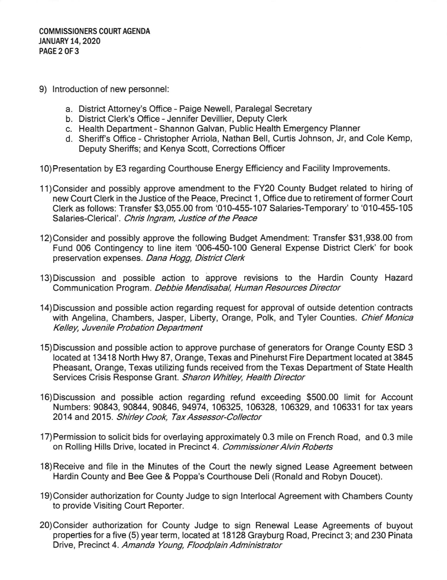- 9) lntroduction of new personnel:
	- a. District Attorney's Office Paige Newell, Paralegal Secretary
	- b. District Clerk's Office Jennifer Devillier, Deputy Clerk
	- c. Health Department Shannon Galvan, Public Health Emergency Planner
	- d. Sheriff's Office Christopher Arriola, Nathan Bell, Curtis Johnson, Jr, and Cole Kemp, Deputy Sheriffs; and Kenya Scott, Corrections Officer
- 10)Presentation by E3 regarding Courthouse Energy Efficiency and Facility lmprovements.
- 11)Consider and possibly approve amendment to the FY20 County Budget related to hiring of new Court Clerk in the Justice of the Peace, Precinct 1, Office due to retirement of former Court Clerk as follows: Transfer \$3,055.00 from '010-455-107 Salaries-Temporary'to'010-455-105 Salaries-Clerical'. Chris Ingram, Justice of the Peace
- '12)Consider and possibly approve the following Budget Amendment: Transfer \$31,938.00 from Fund 006 Contingency to line item '006-450-100 General Expense District Clerk' for book preservation expenses. Dana Hogg, District Clerk
- 13)Discussion and possible action to approve revisions to the Hardin County Hazard Communication Program. Debbie Mendisabal, Human Resources Director
- 14)Discussion and possible action regarding request for approval of outside detention contracts with Angelina, Chambers, Jasper, Liberty, Orange, Polk, and Tyler Counties. Chief Monica Kelley, Juvenile Probation Department
- 15)Discussion and possible action to approve purchase of generators for Orange County ESD 3 located at 13418 North Hwy 87, Orange, Texas and Pinehurst Fire Department located at 3845 Pheasant, Orange, Texas utilizing funds received from the Texas Department of State Health Services Crisis Response Grant. Sharon Whitley, Health Director
- 16)Discussion and possible action regarding refund exceeding \$500.00 limit for Account Numbers: 90843, 90844, 90846, 94974, 106325, 106328, 106329, and 106331 for tax years 2014 and 2O15. Shirley Cook, Tax Assessor-Collector
- 17)Permission to solicit bids for overlaying approximately 0.3 mile on French Road, and 0.3 mile on Rolling Hills Drive, located in Precinct 4. Commissioner Alvin Roberts
- 18)Receive and file in the Minutes of the Court the newly signed Lease Agreement between Hardin County and Bee Gee & Poppa's Courthouse Deli (Ronald and Robyn Doucet).
- 19)Consider authorization for County Judge to sign lnterlocal Agreement with Chambers County to provide Visiting Court Reporter.
- 2O)Consider authorization for County Judge to sign Renewal Lease Agreements of buyout properties for a five (5) year term, located at 18128 Grayburg Road, Precinct 3; and 230 Pinata Drive, Precinct 4. Amanda Young, Floodplain Administrator